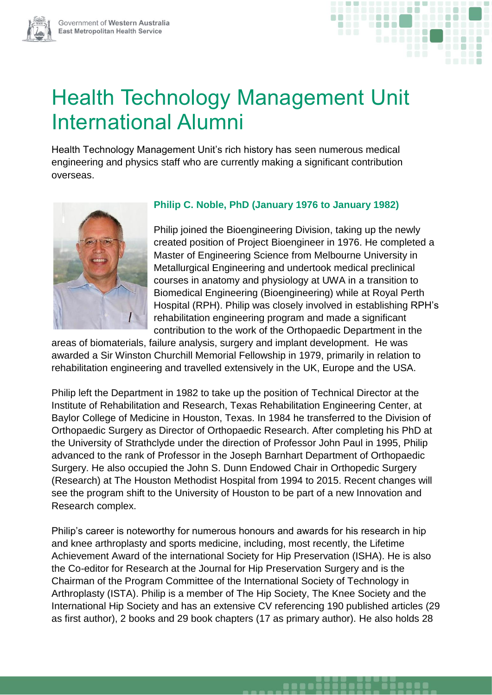



# Health Technology Management Unit International Alumni

Health Technology Management Unit's rich history has seen numerous medical engineering and physics staff who are currently making a significant contribution overseas.



## **Philip C. Noble, PhD (January 1976 to January 1982)**

Philip joined the Bioengineering Division, taking up the newly created position of Project Bioengineer in 1976. He completed a Master of Engineering Science from Melbourne University in Metallurgical Engineering and undertook medical preclinical courses in anatomy and physiology at UWA in a transition to Biomedical Engineering (Bioengineering) while at Royal Perth Hospital (RPH). Philip was closely involved in establishing RPH's rehabilitation engineering program and made a significant contribution to the work of the Orthopaedic Department in the

areas of biomaterials, failure analysis, surgery and implant development. He was awarded a Sir Winston Churchill Memorial Fellowship in 1979, primarily in relation to rehabilitation engineering and travelled extensively in the UK, Europe and the USA.

Philip left the Department in 1982 to take up the position of Technical Director at the Institute of Rehabilitation and Research, Texas Rehabilitation Engineering Center, at Baylor College of Medicine in Houston, Texas. In 1984 he transferred to the Division of Orthopaedic Surgery as Director of Orthopaedic Research. After completing his PhD at the University of Strathclyde under the direction of Professor John Paul in 1995, Philip advanced to the rank of Professor in the Joseph Barnhart Department of Orthopaedic Surgery. He also occupied the John S. Dunn Endowed Chair in Orthopedic Surgery (Research) at The Houston Methodist Hospital from 1994 to 2015. Recent changes will see the program shift to the University of Houston to be part of a new Innovation and Research complex.

Philip's career is noteworthy for numerous honours and awards for his research in hip and knee arthroplasty and sports medicine, including, most recently, the Lifetime Achievement Award of the international Society for Hip Preservation (ISHA). He is also the Co-editor for Research at the Journal for Hip Preservation Surgery and is the Chairman of the Program Committee of the International Society of Technology in Arthroplasty (ISTA). Philip is a member of The Hip Society, The Knee Society and the International Hip Society and has an extensive CV referencing 190 published articles (29 as first author), 2 books and 29 book chapters (17 as primary author). He also holds 28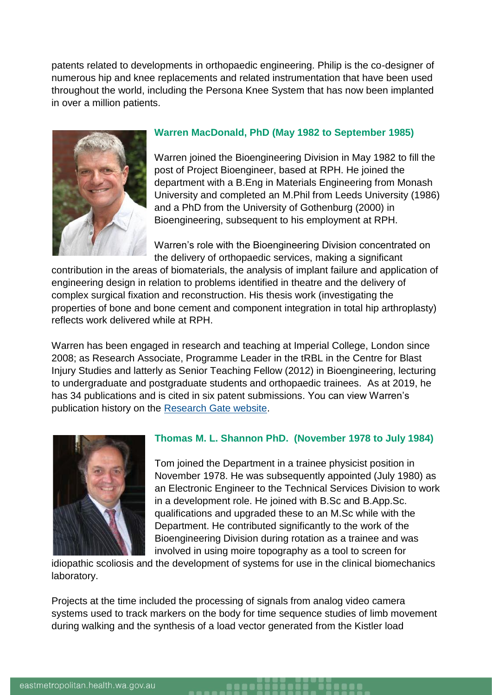patents related to developments in orthopaedic engineering. Philip is the co-designer of numerous hip and knee replacements and related instrumentation that have been used throughout the world, including the Persona Knee System that has now been implanted in over a million patients.



### **Warren MacDonald, PhD (May 1982 to September 1985)**

Warren joined the Bioengineering Division in May 1982 to fill the post of Project Bioengineer, based at RPH. He joined the department with a B.Eng in Materials Engineering from Monash University and completed an M.Phil from Leeds University (1986) and a PhD from the University of Gothenburg (2000) in Bioengineering, subsequent to his employment at RPH.

Warren's role with the Bioengineering Division concentrated on the delivery of orthopaedic services, making a significant

contribution in the areas of biomaterials, the analysis of implant failure and application of engineering design in relation to problems identified in theatre and the delivery of complex surgical fixation and reconstruction. His thesis work (investigating the properties of bone and bone cement and component integration in total hip arthroplasty) reflects work delivered while at RPH.

Warren has been engaged in research and teaching at Imperial College, London since 2008; as Research Associate, Programme Leader in the tRBL in the Centre for Blast Injury Studies and latterly as Senior Teaching Fellow (2012) in Bioengineering, lecturing to undergraduate and postgraduate students and orthopaedic trainees. As at 2019, he has 34 publications and is cited in six patent submissions. You can view Warren's publication history on the [Research Gate website.](https://www.researchgate.net/profile/Warren_Macdonald2)



## **Thomas M. L. Shannon PhD. (November 1978 to July 1984)**

Tom joined the Department in a trainee physicist position in November 1978. He was subsequently appointed (July 1980) as an Electronic Engineer to the Technical Services Division to work in a development role. He joined with B.Sc and B.App.Sc. qualifications and upgraded these to an M.Sc while with the Department. He contributed significantly to the work of the Bioengineering Division during rotation as a trainee and was involved in using moire topography as a tool to screen for

idiopathic scoliosis and the development of systems for use in the clinical biomechanics laboratory.

Projects at the time included the processing of signals from analog video camera systems used to track markers on the body for time sequence studies of limb movement during walking and the synthesis of a load vector generated from the Kistler load